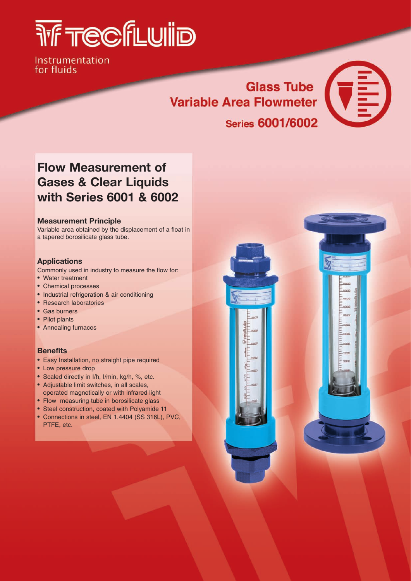## **THE TECFLUILD**

Instrumentation for fluids

## Glass Tube<br>a Flowmeter **Variable Area Flowmeter Series 6001/6002**



### **Flow Measurement of Gases & Clear Liquids with Series 6001 & 6002**

#### **Measurement Principle**

Variable area obtained by the displacement of a float in a tapered borosilicate glass tube.

#### **Applications**

Commonly used in industry to measure the flow for:

- Water treatment
- Chemical processes
- Industrial refrigeration & air conditioning
- Research laboratories
- Gas burners
- Pilot plants
- Annealing furnaces

#### **Benefits**

- Easy Installation, no straight pipe required
- Low pressure drop
- Scaled directly in I/h, I/min, kg/h, %, etc.
- Adjustable limit switches, in all scales, operated magnetically or with infrared light
- Flow measuring tube in borosilicate glass
- Steel construction, coated with Polyamide 11
- Connections in steel, EN 1.4404 (SS 316L), PVC, PTFE, etc.

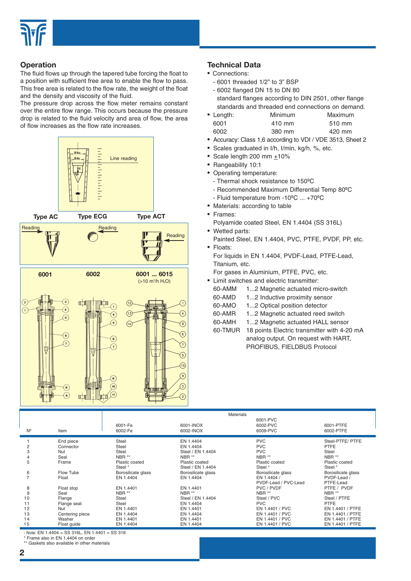

#### **Operation**

The fluid flows up through the tapered tube forcing the float to a position with sufficient free area to enable the flow to pass. This free area is related to the flow rate, the weight of the float and the density and viscosity of the fluid.

The pressure drop across the flow meter remains constant over the entire flow range. This occurs because the pressure drop is related to the fluid velocity and area of flow, the area of flow increases as the flow rate increases.



#### **Technical Data**

- Connections:
	- 6001 threaded 1/2" to 3" BSP
	- 6002 flanged DN 15 to DN 80 standard flanges according to DIN 2501, other flange standards and threaded end connections on demand.

| • Length: | <b>Minimum</b> | Maximum |
|-----------|----------------|---------|
| 6001      | 410 mm         | 510 mm  |
| 6002      | 380 mm         | 420 mm  |

- Accuracy: Class 1,6 according to VDI / VDE 3513, Sheet 2
- Scales graduated in I/h, I/min, kg/h, %, etc.
- Scale length 200 mm +10%
- Rangeability 10:1
- Operating temperature:
	- Thermal shock resistance to 150ºC
	- Recommended Maximum Differential Temp 80ºC
	- Fluid temperature from -10ºC ... +70ºC
- Materials: according to table
- Frames:
	- Polyamide coated Steel, EN 1.4404 (SS 316L)
- Wetted parts: Painted Steel, EN 1.4404, PVC, PTFE, PVDF, PP, etc. • Floats:
- For liquids in EN 1.4404, PVDF-Lead, PTFE-Lead, Titanium, etc.

For gases in Aluminium, PTFE, PVC, etc.

- Limit switches and electric transmitter:
	- 60-AMM 1...2 Magnetic actuated micro-switch
	- 60-AMD 1...2 Inductive proximity sensor
	- 60-AMO 1...2 Optical position detector
	- 60-AMR 1...2 Magnetic actuated reed switch
	- 60-AMH 1...2 Magnetic actuated HALL sensor
	- 60-TMUR 18 points Electric transmitter with 4-20 mA analog output. On request with HART, PROFIBUS, FIELDBUS Protocol

|             |                 |                    |                    | Materials            |                    |
|-------------|-----------------|--------------------|--------------------|----------------------|--------------------|
|             |                 |                    |                    | 6001-PVC             |                    |
|             |                 | 6001-Fe            | 6001-INOX          | 6002-PVC             | 6001-PTFE          |
| $N^{\circ}$ | Item            | 6002-Fe            | 6002-INOX          | 6009-PVC             | 6002-PTFE          |
|             | End piece       | <b>Steel</b>       | EN 1.4404          | <b>PVC</b>           | Steel-PTFE/ PTFE   |
| 2           | Connector       | <b>Steel</b>       | EN 1.4404          | <b>PVC</b>           | <b>PTFE</b>        |
| 3           | Nut             | <b>Steel</b>       | Steel / EN 1.4404  | <b>PVC</b>           | Steel              |
| 4           | Seal            | NBR <sup>**</sup>  | NBR <sup>**</sup>  | NBR <sup>**</sup>    | NBR **             |
| 5           | Frame           | Plastic coated     | Plastic coated     | Plastic coated       | Plastic coated     |
|             |                 | Steel *            | Steel / EN 1.4404  | Steel *              | Steel *            |
| 6           | Flow Tube       | Borosilicate glass | Borosilicate glass | Borosilicate glass   | Borosilicate glass |
|             | Float           | EN 1.4404          | EN 1.4404          | EN 1.4404 /          | PVDF-Lead /        |
|             |                 |                    |                    | PVDF-Lead / PVC-Lead | PTFE-Lead          |
| 8           | Float stop      | EN 1.4401          | EN 1.4401          | PVC / PVDF           | PTFE / PVDF        |
| 9           | Seal            | NBR **             | NBR **             | NBR <sup>**</sup>    | NBR <sup>**</sup>  |
| 10          | Flange          | <b>Steel</b>       | Steel / EN 1.4404  | Steel / PVC          | Steel / PTFE       |
| 11          | Flange seat     | Steel              | EN 1.4404          | <b>PVC</b>           | <b>PTFE</b>        |
| 12          | Nut             | EN 1.4401          | EN 1.4401          | EN 1.4401 / PVC      | EN 1.4401 / PTFE   |
| 13          | Centering piece | EN 1.4404          | EN 1.4404          | EN 1.4401 / PVC      | EN 1.4401 / PTFE   |
| 14          | Washer          | EN 1.4401          | EN 1.4401          | EN 1.4401 / PVC      | EN 1.4401 / PTFE   |
| 15          | Float guide     | EN 1.4404          | EN 1.4404          | EN 1.4401 / PVC      | EN 1.4401 / PTFE   |

- Note: EN 1.4404 = SS 316L, EN 1.4401 = SS 316

\* Frame also in EN 1.4404 on order

\*\* Gaskets also available in other materials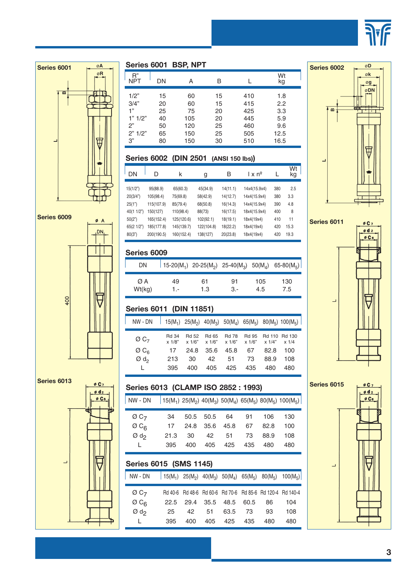





**Series 6011**  $ØC7$  $\phi$ d 2  $\emptyset$  C  $\epsilon$ 

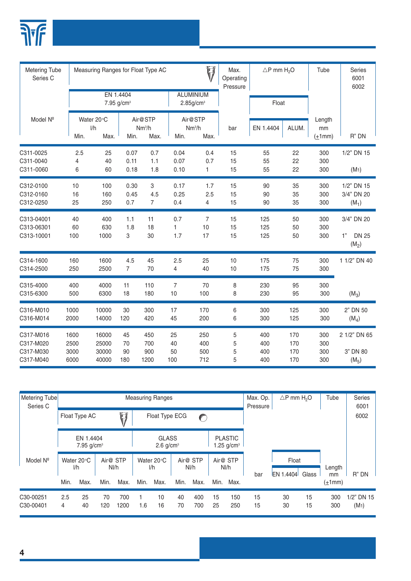

| <b>Metering Tube</b><br>Series C                 |                              | Ŵ<br>Measuring Ranges for Float Type AC |                       |                                       |                       |                                              | Max.<br>Operating<br>Pressure | $\triangle P$ mm H <sub>2</sub> O |                          | Tube                         | Series<br>6001<br>6002                      |
|--------------------------------------------------|------------------------------|-----------------------------------------|-----------------------|---------------------------------------|-----------------------|----------------------------------------------|-------------------------------|-----------------------------------|--------------------------|------------------------------|---------------------------------------------|
|                                                  |                              | EN 1.4404<br>7.95 g/cm <sup>3</sup>     |                       |                                       |                       | <b>ALUMINIUM</b><br>$2.85$ g/cm <sup>3</sup> |                               | Float                             |                          |                              |                                             |
| Model Nº                                         | Min.                         | Water 20°C<br>1/h<br>Max.               | Min.                  | Air@STP<br>Nm <sup>3</sup> /h<br>Max. | Min.                  | Air@STP<br>Nm <sup>3</sup> /h<br>Max.        | bar                           | EN 1.4404                         | ALUM.                    | Length<br>mm<br>$(\pm 1$ mm) | R" DN                                       |
| C311-0025<br>C311-0040<br>C311-0060              | 2.5<br>4<br>6                | 25<br>40<br>60                          | 0.07<br>0.11<br>0.18  | 0.7<br>1.1<br>1.8                     | 0.04<br>0.07<br>0.10  | 0.4<br>0.7<br>$\mathbf{1}$                   | 15<br>15<br>15                | 55<br>55<br>55                    | 22<br>22<br>22           | 300<br>300<br>300            | 1/2" DN 15<br>(M1)                          |
| C312-0100<br>C312-0160<br>C312-0250              | 10<br>16<br>25               | 100<br>160<br>250                       | 0.30<br>0.45<br>0.7   | 3<br>4.5<br>$\overline{7}$            | 0.17<br>0.25<br>0.4   | 1.7<br>2.5<br>$\overline{4}$                 | 15<br>15<br>15                | 90<br>90<br>90                    | 35<br>35<br>35           | 300<br>300<br>300            | 1/2" DN 15<br>3/4" DN 20<br>$(M_1)$         |
| C313-04001<br>C313-06301<br>C313-10001           | 40<br>60<br>100              | 400<br>630<br>1000                      | 1.1<br>1.8<br>3       | 11<br>18<br>30                        | 0.7<br>1<br>1.7       | $\overline{7}$<br>10<br>17                   | 15<br>15<br>15                | 125<br>125<br>125                 | 50<br>50<br>50           | 300<br>300<br>300            | 3/4" DN 20<br>1"<br><b>DN 25</b><br>$(M_2)$ |
| C314-1600<br>C314-2500                           | 160<br>250                   | 1600<br>2500                            | 4.5<br>$\overline{7}$ | 45<br>70                              | 2.5<br>4              | 25<br>40                                     | 10<br>10                      | 175<br>175                        | 75<br>75                 | 300<br>300                   | 1 1/2" DN 40                                |
| C315-4000<br>C315-6300                           | 400<br>500                   | 4000<br>6300                            | 11<br>18              | 110<br>180                            | $\overline{7}$<br>10  | 70<br>100                                    | 8<br>8                        | 230<br>230                        | 95<br>95                 | 300<br>300                   | $(M_3)$                                     |
| C316-M010<br>C316-M014                           | 1000<br>2000                 | 10000<br>14000                          | 30<br>120             | 300<br>420                            | 17<br>45              | 170<br>200                                   | 6<br>6                        | 300<br>300                        | 125<br>125               | 300<br>300                   | 2" DN 50<br>$(M_4)$                         |
| C317-M016<br>C317-M020<br>C317-M030<br>C317-M040 | 1600<br>2500<br>3000<br>6000 | 16000<br>25000<br>30000<br>40000        | 45<br>70<br>90<br>180 | 450<br>700<br>900<br>1200             | 25<br>40<br>50<br>100 | 250<br>400<br>500<br>712                     | 5<br>5<br>5<br>5              | 400<br>400<br>400<br>400          | 170<br>170<br>170<br>170 | 300<br>300<br>300<br>300     | 2 1/2" DN 65<br>3" DN 80<br>$(M_5)$         |

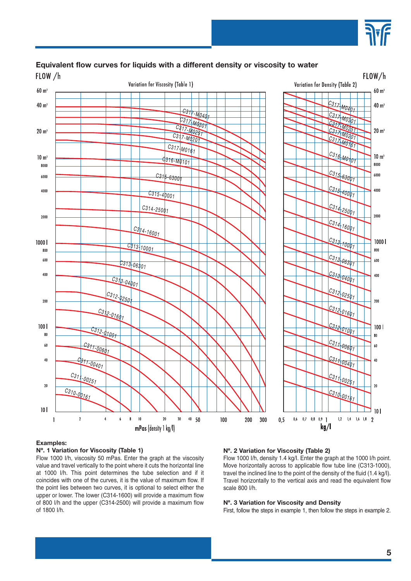

### **Equivalent flow curves for liquids with a different density or viscosity to water**



#### **Examples:**

#### **Nº. 1 Variation for Viscosity (Table 1)**

Flow 1000 I/h, viscosity 50 mPas. Enter the graph at the viscosity value and travel vertically to the point where it cuts the horizontal line at 1000 I/h. This point determines the tube selection and if it coincides with one of the curves, it is the value of maximum flow. If the point lies between two curves, it is optional to select either the upper or lower. The lower (C314-1600) will provide a maximum flow of 800 I/h and the upper (C314-2500) will provide a maximum flow of 1800 I/h.

#### **Nº. 2 Variation for Viscosity (Table 2)**

Flow 1000 I/h, density 1.4 kg/I. Enter the graph at the 1000 I/h point. Move horizontally across to applicable flow tube line (C313-1000), travel the inclined line to the point of the density of the fluid (1.4 kg/I). Travel horizontally to the vertical axis and read the equivalent flow scale 800 I/h.

#### **Nº. 3 Variation for Viscosity and Density**

First, follow the steps in example 1, then follow the steps in example 2.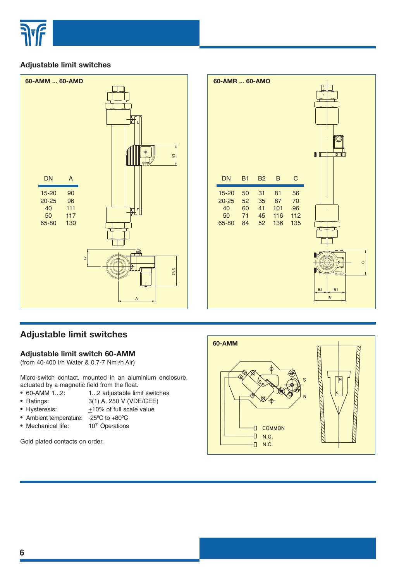

#### **Adjustable limit switches**



| 60-AMR  60-AMO<br><b>DN</b>             | <b>B1</b>                  | <b>B2</b>                  | B                             | $\mathsf C$                  | $\mathbf{I}$<br>$\blacksquare$<br>$\bullet$ $\bullet$   |
|-----------------------------------------|----------------------------|----------------------------|-------------------------------|------------------------------|---------------------------------------------------------|
| 15-20<br>$20 - 25$<br>40<br>50<br>65-80 | 50<br>52<br>60<br>71<br>84 | 31<br>35<br>41<br>45<br>52 | 81<br>87<br>101<br>116<br>136 | 56<br>70<br>96<br>112<br>135 | $\circ$<br>B <sub>2</sub><br>B <sub>1</sub><br>$\sf{B}$ |

#### **Adjustable limit switches**

#### **Adjustable limit switch 60-AMM**

(from 40-400 I/h Water & 0.7-7 Nm3/h Air)

Micro-switch contact, mounted in an aluminium enclosure, actuated by a magnetic field from the float.

- 60-AMM 1...2: 1...2 adjustable limit switches
- Ratings: 3(1) A, 250 V (VDE/CEE)
- Hysteresis:  $+10\%$  of full scale value
- Ambient temperature: -25ºC to +80ºC
- Mechanical life: 10<sup>7</sup> Operations

Gold plated contacts on order.

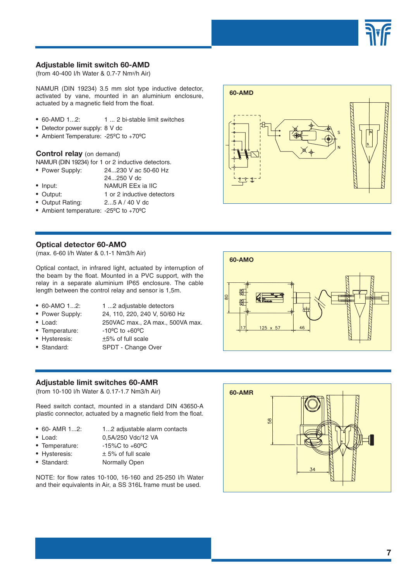

#### **Adjustable limit switch 60-AMD**

(from 40-400 I/h Water & 0.7-7 Nm3/h Air)

NAMUR (DIN 19234) 3.5 mm slot type inductive detector, activated by vane, mounted in an aluminium enclosure, actuated by a magnetic field from the float.

- 60-AMD 1...2: 1 ... 2 bi-stable limit switches
- Detector power supply: 8 V dc
- Ambient Temperature: -25ºC to +70ºC

#### **Control relay** (on demand)

NAMUR (DIN 19234) for 1 or 2 inductive detectors.

- Power Supply: 24...230 V ac 50-60 Hz
- 24...250 V dc
- Input: NAMUR EEx ia IIC
- Output: 1 or 2 inductive detectors
- Output Rating: 2...5 A / 40 V dc
- Ambient temperature: -25ºC to +70ºC

#### **Optical detector 60-AMO**

(max. 6-60 l/h Water & 0.1-1 Nm3/h Air)

Optical contact, in infrared light, actuated by interruption of the beam by the float. Mounted in a PVC support, with the relay in a separate aluminium IP65 enclosure. The cable length between the control relay and sensor is 1,5m.

- 60-AMO 1...2: 1 ...2 adjustable detectors
	-
- 
- Power Supply: 24, 110, 220, 240 V, 50/60 Hz
- Load: 250VAC max., 2A max., 500VA max.
- Temperature: -10<sup>o</sup>C to +60<sup>o</sup>C
- 
- Hysteresis:  $±5%$  of full scale
- Standard: SPDT Change Over

#### **Adjustable limit switches 60-AMR**

(from 10-100 l/h Water & 0.17-1.7 Nm3/h Air)

Reed switch contact, mounted in a standard DIN 43650-A plastic connector, actuated by a magnetic field from the float.

- 
- 60- AMR 1...2: 1...2 adjustable alarm contacts
- 
- Load: 0,5A/250 Vdc/12 VA
- Temperature: -15%C to +60°C
- Hysteresis:  $\pm 5\%$  of full scale
- Standard: Normally Open

NOTE: for flow rates 10-100, 16-160 and 25-250 l/h Water and their equivalents in Air, a SS 316L frame must be used.